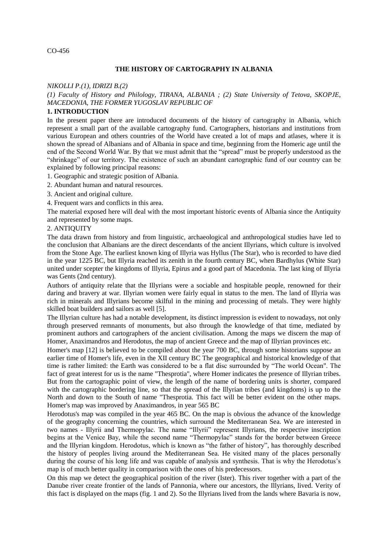#### CO-456

### **THE HISTORY OF CARTOGRAPHY IN ALBANIA**

#### *NIKOLLI P.(1), IDRIZI B.(2)*

*(1) Faculty of History and Philology, TIRANA, ALBANIA ; (2) State University of Tetova, SKOPJE, MACEDONIA, THE FORMER YUGOSLAV REPUBLIC OF*

#### **1. INTRODUCTION**

In the present paper there are introduced documents of the history of cartography in Albania, which represent a small part of the available cartography fund. Cartographers, historians and institutions from various European and others countries of the World have created a lot of maps and atlases, where it is shown the spread of Albanians and of Albania in space and time, beginning from the Homeric age until the end of the Second World War. By that we must admit that the "spread" must be properly understood as the "shrinkage" of our territory. The existence of such an abundant cartographic fund of our country can be explained by following principal reasons:

1. Geographic and strategic position of Albania.

- 2. Abundant human and natural resources.
- 3. Ancient and original culture.
- 4. Frequent wars and conflicts in this area.

The material exposed here will deal with the most important historic events of Albania since the Antiquity and represented by some maps.

#### 2. ANTIQUITY

The data drawn from history and from linguistic, archaeological and anthropological studies have led to the conclusion that Albanians are the direct descendants of the ancient Illyrians, which culture is involved from the Stone Age. The earliest known king of Illyria was Hyllus (The Star), who is recorded to have died in the year 1225 BC, but Illyria reached its zenith in the fourth century BC, when Bardhylus (White Star) united under scepter the kingdoms of Illyria, Epirus and a good part of Macedonia. The last king of Illyria was Gents (2nd century).

Authors of antiquity relate that the Illyrians were a sociable and hospitable people, renowned for their daring and bravery at war. Illyrian women were fairly equal in status to the men. The land of Illyria was rich in minerals and Illyrians become skilful in the mining and processing of metals. They were highly skilled boat builders and sailors as well [5].

The Illyrian culture has had a notable development, its distinct impression is evident to nowadays, not only through preserved remnants of monuments, but also through the knowledge of that time, mediated by prominent authors and cartographers of the ancient civilisation. Among the maps we discern the map of Homer, Anaximandros and Herodotus, the map of ancient Greece and the map of Illyrian provinces etc.

Homer's map [12] is believed to be compiled about the year 700 BC, through some historians suppose an earlier time of Homer's life, even in the XII century BC The geographical and historical knowledge of that time is rather limited: the Earth was considered to be a flat disc surrounded by "The world Ocean". The fact of great interest for us is the name "Thesprotia", where Homer indicates the presence of Illyrian tribes. But from the cartographic point of view, the length of the name of bordering units is shorter, compared with the cartographic bordering line, so that the spread of the Illyrian tribes (and kingdoms) is up to the North and down to the South of name "Thesprotia. This fact will be better evident on the other maps. Homer's map was improved by Anaximandros, in year 565 BC

Herodotus's map was compiled in the year 465 BC. On the map is obvious the advance of the knowledge of the geography concerning the countries, which surround the Mediterranean Sea. We are interested in two names - Illyrii and Thermopylac. The name "Illyrii" represent Illyrians, the respective inscription begins at the Venice Bay, while the second name "Thermopylac" stands for the border between Greece and the Illyrian kingdom. Herodotus, which is known as "the father of history", has thoroughly described the history of peoples living around the Mediterranean Sea. He visited many of the places personally during the course of his long life and was capable of analysis and synthesis. That is why the Herodotus's map is of much better quality in comparison with the ones of his predecessors.

On this map we detect the geographical position of the river (Ister). This river together with a part of the Danube river create frontier of the lands of Pannonia, where our ancestors, the Illyrians, lived. Verity of this fact is displayed on the maps (fig. 1 and 2). So the Illyrians lived from the lands where Bavaria is now,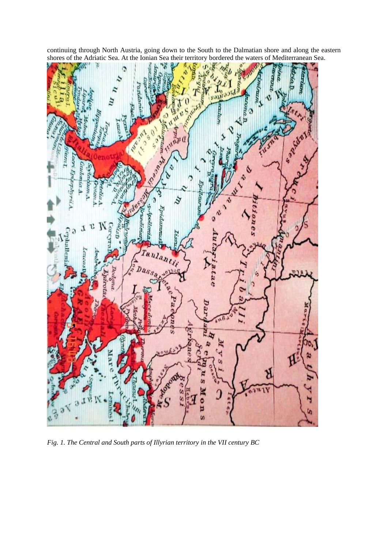continuing through North Austria, going down to the South to the Dalmatian shore and along the eastern shores of the Adriatic Sea. At the Ionian Sea their territory bordered the waters of Mediterranean Sea.



*Fig. 1. The Central and South parts of Illyrian territory in the VII century BC*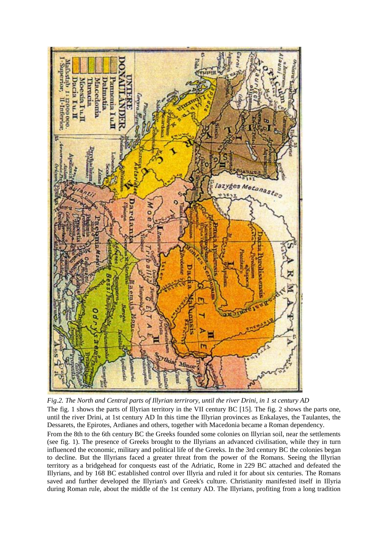

*Fig.2. The North and Central parts of Illyrian terrirory, until the river Drini, in 1 st century AD* The fig. 1 shows the parts of Illyrian territory in the VII century BC [15]. The fig. 2 shows the parts one, until the river Drini, at 1st century AD In this time the Illyrian provinces as Enkalayes, the Taulantes, the Dessarets, the Epirotes, Ardianes and others, together with Macedonia became a Roman dependency. From the 8th to the 6th century BC the Greeks founded some colonies on Illyrian soil, near the settlements (see fig. 1). The presence of Greeks brought to the Illyrians an advanced civilisation, while they in turn influenced the economic, military and political life of the Greeks. In the 3rd century BC the colonies began to decline. But the Illyrians faced a greater threat from the power of the Romans. Seeing the Illyrian territory as a bridgehead for conquests east of the Adriatic, Rome in 229 BC attached and defeated the Illyrians, and by 168 BC established control over Illyria and ruled it for about six centuries. The Romans saved and further developed the Illyrian's and Greek's culture. Christianity manifested itself in Illyria during Roman rule, about the middle of the 1st century AD. The Illyrians, profiting from a long tradition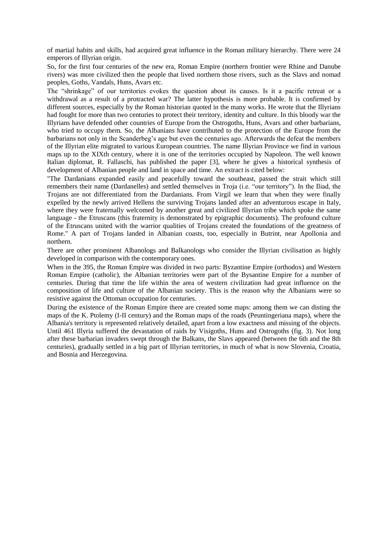of martial habits and skills, had acquired great influence in the Roman military hierarchy. There were 24 emperors of Illyrian origin.

So, for the first four centuries of the new era, Roman Empire (northern frontier were Rhine and Danube rivers) was more civilized then the people that lived northern those rivers, such as the Slavs and nomad peoples, Goths, Vandals, Huns, Avars etc.

The "shrinkage" of our territories evokes the question about its causes. Is it a pacific retreat or a withdrawal as a result of a protracted war? The latter hypothesis is more probable. It is confirmed by different sources, especially by the Roman historian quoted in the many works. He wrote that the Illyrians had fought for more than two centuries to protect their territory, identity and culture. In this bloody war the Illyrians have defended other countries of Europe from the Ostrogoths, Huns, Avars and other barbarians, who tried to occupy them. So, the Albanians have contributed to the protection of the Europe from the barbarians not only in the Scanderbeg's age but even the centuries ago. Afterwards the defeat the members of the Illyrian elite migrated to various European countries. The name Illyrian Province we find in various maps up to the XIXth century, where it is one of the territories occupied by Napoleon. The well known Italian diplomat, R. Fallaschi, has published the paper [3], where he gives a historical synthesis of development of Albanian people and land in space and time. An extract is cited below:

"The Dardanians expanded easily and peacefully toward the southeast, passed the strait which still remembers their name (Dardanelles) and settled themselves in Troja (i.e. "our territory"). In the Iliad, the Trojans are not differentiated from the Dardanians. From Virgil we learn that when they were finally expelled by the newly arrived Hellens the surviving Trojans landed after an adventurous escape in Italy, where they were fraternally welcomed by another great and civilized Illyrian tribe which spoke the same language - the Etruscans (this fraternity is demonstrated by epigraphic documents). The profound culture of the Etruscans united with the warrior qualities of Trojans created the foundations of the greatness of Rome." A part of Trojans landed in Albanian coasts, too, especially in Butrint, near Apollonia and northern.

There are other prominent Albanologs and Balkanologs who consider the Illyrian civilisation as highly developed in comparison with the contemporary ones.

When in the 395, the Roman Empire was divided in two parts: Byzantine Empire (orthodox) and Western Roman Empire (catholic), the Albanian territories were part of the Bysantine Empire for a number of centuries. During that time the life within the area of western civilization had great influence on the composition of life and culture of the Albanian society. This is the reason why the Albanians were so resistive against the Ottoman occupation for centuries.

During the existence of the Roman Empire there are created some maps: among them we can disting the maps of the K. Ptolemy (I-II century) and the Roman maps of the roads (Peuntingeriana maps), where the Albania's territory is represented relatively detailed, apart from a low exactness and missing of the objects. Until 461 Illyria suffered the devastation of raids by Visigoths, Huns and Ostrogoths (fig. 3). Not long after these barbarian invaders swept through the Balkans, the Slavs appeared (between the 6th and the 8th centuries), gradually settled in a big part of Illyrian territories, in much of what is now Slovenia, Croatia, and Bosnia and Herzegovina.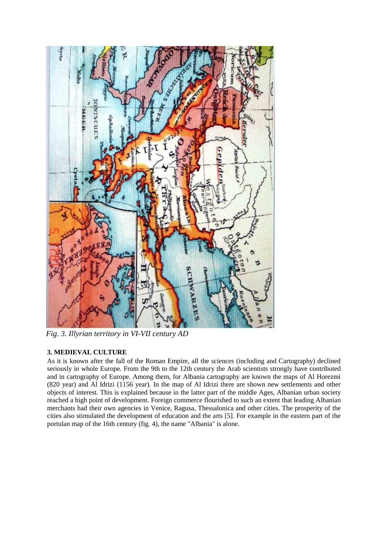

*Fig. 3. Illyrian territory in VI-VII century AD*

# **3. MEDIEVAL CULTURE**

As it is known after the fall of the Roman Empire, all the sciences (including and Cartography) declined seriously in whole Europe. From the 9th to the 12th century the Arab scientists strongly have contributed and in cartography of Europe. Among them, for Albania cartography are known the maps of Al Horezmi (820 year) and Al Idrizi (1156 year). In the map of Al Idrizi there are shown new settlements and other objects of interest. This is explained because in the latter part of the middle Ages, Albanian urban society reached a high point of development. Foreign commerce flourished to such an extent that leading Albanian merchants had their own agencies in Venice, Ragusa, Thessalonica and other cities. The prosperity of the cities also stimulated the development of education and the arts [5]. For example in the eastern part of the portulan map of the 16th century (fig. 4), the name "Albania" is alone.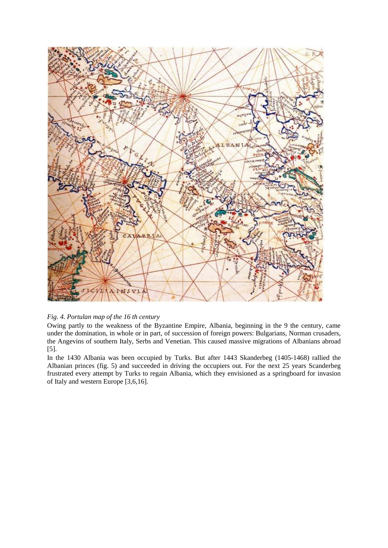

## *Fig. 4. Portulan map of the 16 th century*

Owing partly to the weakness of the Byzantine Empire, Albania, beginning in the 9 the century, came under the domination, in whole or in part, of succession of foreign powers: Bulgarians, Norman crusaders, the Angevins of southern Italy, Serbs and Venetian. This caused massive migrations of Albanians abroad [5].

In the 1430 Albania was been occupied by Turks. But after 1443 Skanderbeg (1405-1468) rallied the Albanian princes (fig. 5) and succeeded in driving the occupiers out. For the next 25 years Scanderbeg frustrated every attempt by Turks to regain Albania, which they envisioned as a springboard for invasion of Italy and western Europe [3,6,16].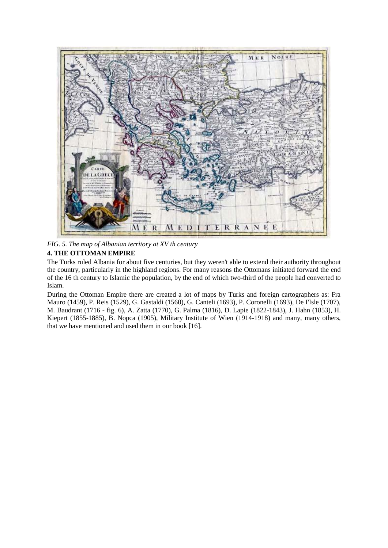

*FIG. 5. The map of Albanian territory at XV th century*

# **4. THE OTTOMAN EMPIRE**

The Turks ruled Albania for about five centuries, but they weren't able to extend their authority throughout the country, particularly in the highland regions. For many reasons the Ottomans initiated forward the end of the 16 th century to Islamic the population, by the end of which two-third of the people had converted to Islam.

During the Ottoman Empire there are created a lot of maps by Turks and foreign cartographers as: Fra Mauro (1459), P. Reis (1529), G. Gastaldi (1560), G. Canteli (1693), P. Coronelli (1693), De I'Isle (1707), M. Baudrant (1716 - fig. 6), A. Zatta (1770), G. Palma (1816), D. Lapie (1822-1843), J. Hahn (1853), H. Kiepert (1855-1885), B. Nopca (1905), Military Institute of Wien (1914-1918) and many, many others, that we have mentioned and used them in our book [16].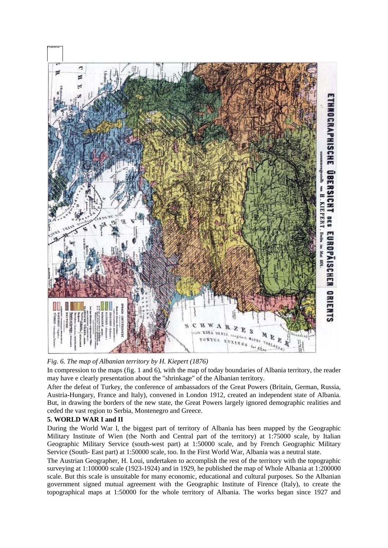

# *Fig. 6. The map of Albanian territory by H. Kiepert (1876)*

In compression to the maps (fig. 1 and 6), with the map of today boundaries of Albania territory, the reader may have e clearly presentation about the "shrinkage" of the Albanian territory.

After the defeat of Turkey, the conference of ambassadors of the Great Powers (Britain, German, Russia, Austria-Hungary, France and Italy), convened in London 1912, created an independent state of Albania. But, in drawing the borders of the new state, the Great Powers largely ignored demographic realities and ceded the vast region to Serbia, Montenegro and Greece.

## **5. WORLD WAR I and II**

During the World War I, the biggest part of territory of Albania has been mapped by the Geographic Military Institute of Wien (the North and Central part of the territory) at 1:75000 scale, by Italian Geographic Military Service (south-west part) at 1:50000 scale, and by French Geographic Military Service (South- East part) at 1:50000 scale, too. In the First World War, Albania was a neutral state.

The Austrian Geographer, H. Loui, undertaken to accomplish the rest of the territory with the topographic surveying at 1:100000 scale (1923-1924) and in 1929, he published the map of Whole Albania at 1:200000 scale. But this scale is unsuitable for many economic, educational and cultural purposes. So the Albanian government signed mutual agreement with the Geographic Institute of Firence (Italy), to create the topographical maps at 1:50000 for the whole territory of Albania. The works began since 1927 and